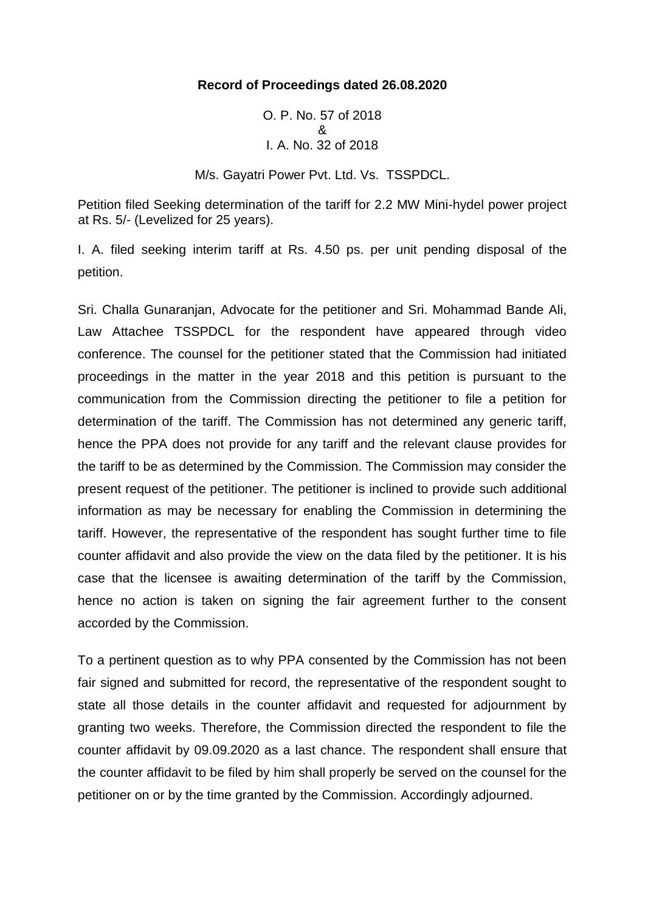## **Record of Proceedings dated 26.08.2020**

O. P. No. 57 of 2018 & I. A. No. 32 of 2018

M/s. Gayatri Power Pvt. Ltd. Vs. TSSPDCL.

Petition filed Seeking determination of the tariff for 2.2 MW Mini-hydel power project at Rs. 5/- (Levelized for 25 years).

I. A. filed seeking interim tariff at Rs. 4.50 ps. per unit pending disposal of the petition.

Sri. Challa Gunaranjan, Advocate for the petitioner and Sri. Mohammad Bande Ali, Law Attachee TSSPDCL for the respondent have appeared through video conference. The counsel for the petitioner stated that the Commission had initiated proceedings in the matter in the year 2018 and this petition is pursuant to the communication from the Commission directing the petitioner to file a petition for determination of the tariff. The Commission has not determined any generic tariff, hence the PPA does not provide for any tariff and the relevant clause provides for the tariff to be as determined by the Commission. The Commission may consider the present request of the petitioner. The petitioner is inclined to provide such additional information as may be necessary for enabling the Commission in determining the tariff. However, the representative of the respondent has sought further time to file counter affidavit and also provide the view on the data filed by the petitioner. It is his case that the licensee is awaiting determination of the tariff by the Commission, hence no action is taken on signing the fair agreement further to the consent accorded by the Commission.

To a pertinent question as to why PPA consented by the Commission has not been fair signed and submitted for record, the representative of the respondent sought to state all those details in the counter affidavit and requested for adjournment by granting two weeks. Therefore, the Commission directed the respondent to file the counter affidavit by 09.09.2020 as a last chance. The respondent shall ensure that the counter affidavit to be filed by him shall properly be served on the counsel for the petitioner on or by the time granted by the Commission. Accordingly adjourned.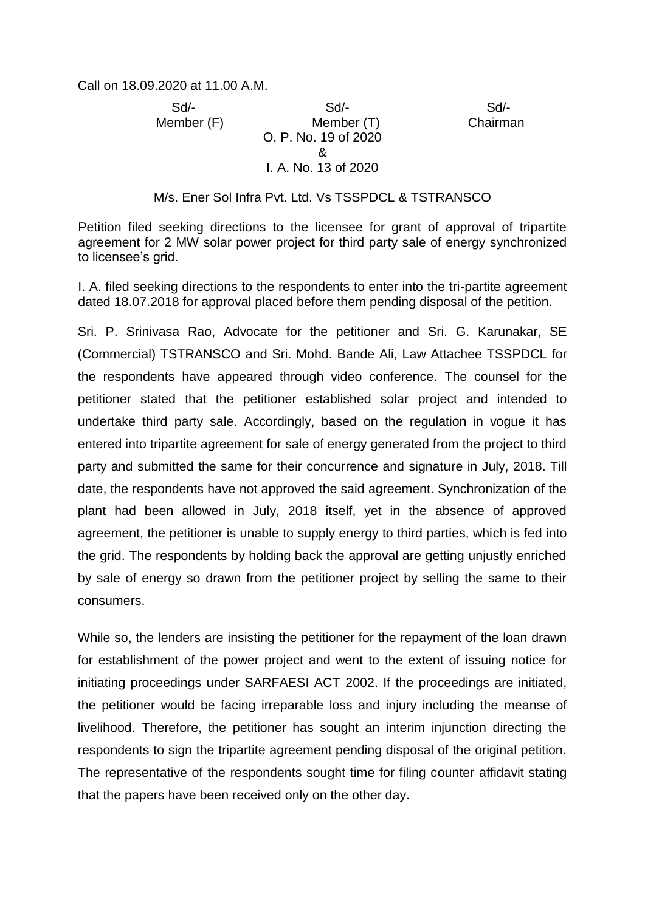Call on 18.09.2020 at 11.00 A.M.

 Sd/- Sd/- Sd/- Member (F) Member (T) Chairman O. P. No. 19 of 2020 & I. A. No. 13 of 2020

## M/s. Ener Sol Infra Pvt. Ltd. Vs TSSPDCL & TSTRANSCO

Petition filed seeking directions to the licensee for grant of approval of tripartite agreement for 2 MW solar power project for third party sale of energy synchronized to licensee's grid.

I. A. filed seeking directions to the respondents to enter into the tri-partite agreement dated 18.07.2018 for approval placed before them pending disposal of the petition.

Sri. P. Srinivasa Rao, Advocate for the petitioner and Sri. G. Karunakar, SE (Commercial) TSTRANSCO and Sri. Mohd. Bande Ali, Law Attachee TSSPDCL for the respondents have appeared through video conference. The counsel for the petitioner stated that the petitioner established solar project and intended to undertake third party sale. Accordingly, based on the regulation in vogue it has entered into tripartite agreement for sale of energy generated from the project to third party and submitted the same for their concurrence and signature in July, 2018. Till date, the respondents have not approved the said agreement. Synchronization of the plant had been allowed in July, 2018 itself, yet in the absence of approved agreement, the petitioner is unable to supply energy to third parties, which is fed into the grid. The respondents by holding back the approval are getting unjustly enriched by sale of energy so drawn from the petitioner project by selling the same to their consumers.

While so, the lenders are insisting the petitioner for the repayment of the loan drawn for establishment of the power project and went to the extent of issuing notice for initiating proceedings under SARFAESI ACT 2002. If the proceedings are initiated, the petitioner would be facing irreparable loss and injury including the meanse of livelihood. Therefore, the petitioner has sought an interim injunction directing the respondents to sign the tripartite agreement pending disposal of the original petition. The representative of the respondents sought time for filing counter affidavit stating that the papers have been received only on the other day.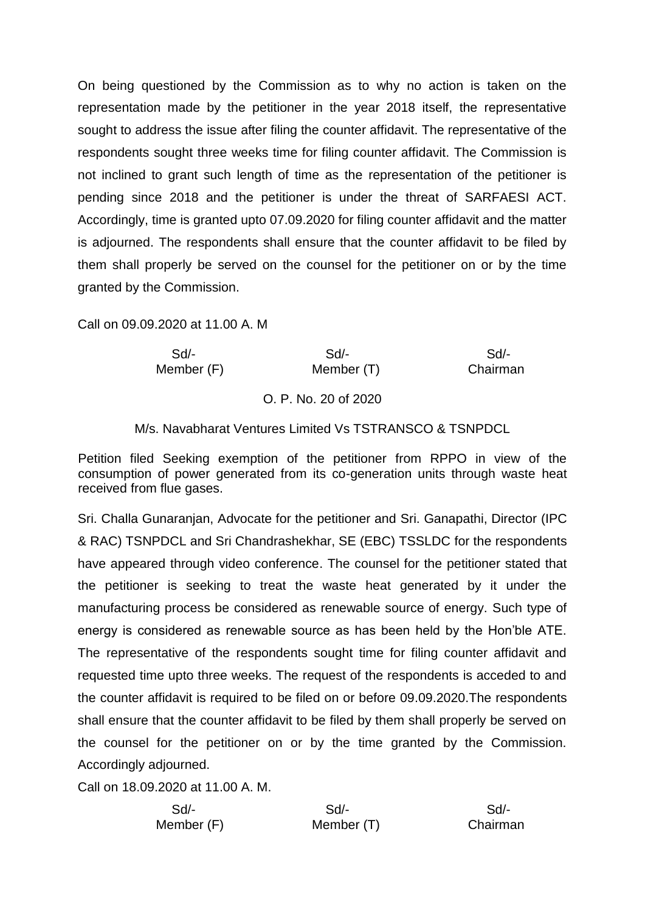On being questioned by the Commission as to why no action is taken on the representation made by the petitioner in the year 2018 itself, the representative sought to address the issue after filing the counter affidavit. The representative of the respondents sought three weeks time for filing counter affidavit. The Commission is not inclined to grant such length of time as the representation of the petitioner is pending since 2018 and the petitioner is under the threat of SARFAESI ACT. Accordingly, time is granted upto 07.09.2020 for filing counter affidavit and the matter is adjourned. The respondents shall ensure that the counter affidavit to be filed by them shall properly be served on the counsel for the petitioner on or by the time granted by the Commission.

Call on 09.09.2020 at 11.00 A. M

| Sd/-     | Sd                   | $Sd$ -     |  |
|----------|----------------------|------------|--|
| Chairman | Member (T)           | Member (F) |  |
|          | O. P. No. 20 of 2020 |            |  |

## M/s. Navabharat Ventures Limited Vs TSTRANSCO & TSNPDCL

Petition filed Seeking exemption of the petitioner from RPPO in view of the consumption of power generated from its co-generation units through waste heat received from flue gases.

Sri. Challa Gunaranjan, Advocate for the petitioner and Sri. Ganapathi, Director (IPC & RAC) TSNPDCL and Sri Chandrashekhar, SE (EBC) TSSLDC for the respondents have appeared through video conference. The counsel for the petitioner stated that the petitioner is seeking to treat the waste heat generated by it under the manufacturing process be considered as renewable source of energy. Such type of energy is considered as renewable source as has been held by the Hon'ble ATE. The representative of the respondents sought time for filing counter affidavit and requested time upto three weeks. The request of the respondents is acceded to and the counter affidavit is required to be filed on or before 09.09.2020.The respondents shall ensure that the counter affidavit to be filed by them shall properly be served on the counsel for the petitioner on or by the time granted by the Commission. Accordingly adjourned.

Call on 18.09.2020 at 11.00 A. M.

| Sd/-       | Sd         | Sd/-     |
|------------|------------|----------|
| Member (F) | Member (T) | Chairman |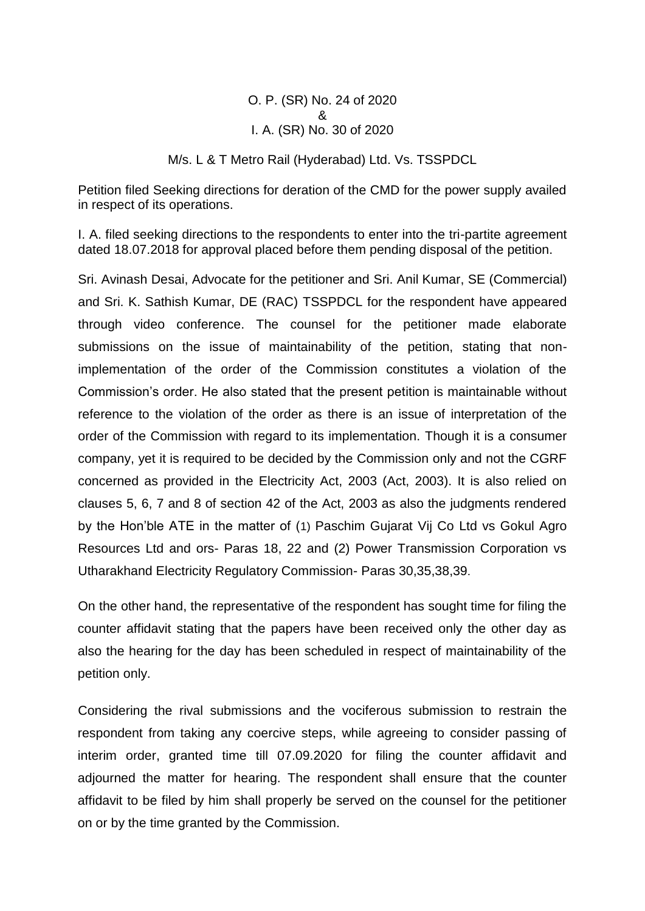O. P. (SR) No. 24 of 2020 & I. A. (SR) No. 30 of 2020

M/s. L & T Metro Rail (Hyderabad) Ltd. Vs. TSSPDCL

Petition filed Seeking directions for deration of the CMD for the power supply availed in respect of its operations.

I. A. filed seeking directions to the respondents to enter into the tri-partite agreement dated 18.07.2018 for approval placed before them pending disposal of the petition.

Sri. Avinash Desai, Advocate for the petitioner and Sri. Anil Kumar, SE (Commercial) and Sri. K. Sathish Kumar, DE (RAC) TSSPDCL for the respondent have appeared through video conference. The counsel for the petitioner made elaborate submissions on the issue of maintainability of the petition, stating that nonimplementation of the order of the Commission constitutes a violation of the Commission's order. He also stated that the present petition is maintainable without reference to the violation of the order as there is an issue of interpretation of the order of the Commission with regard to its implementation. Though it is a consumer company, yet it is required to be decided by the Commission only and not the CGRF concerned as provided in the Electricity Act, 2003 (Act, 2003). It is also relied on clauses 5, 6, 7 and 8 of section 42 of the Act, 2003 as also the judgments rendered by the Hon'ble ATE in the matter of (1) Paschim Gujarat Vij Co Ltd vs Gokul Agro Resources Ltd and ors- Paras 18, 22 and (2) Power Transmission Corporation vs Utharakhand Electricity Regulatory Commission- Paras 30,35,38,39.

On the other hand, the representative of the respondent has sought time for filing the counter affidavit stating that the papers have been received only the other day as also the hearing for the day has been scheduled in respect of maintainability of the petition only.

Considering the rival submissions and the vociferous submission to restrain the respondent from taking any coercive steps, while agreeing to consider passing of interim order, granted time till 07.09.2020 for filing the counter affidavit and adjourned the matter for hearing. The respondent shall ensure that the counter affidavit to be filed by him shall properly be served on the counsel for the petitioner on or by the time granted by the Commission.